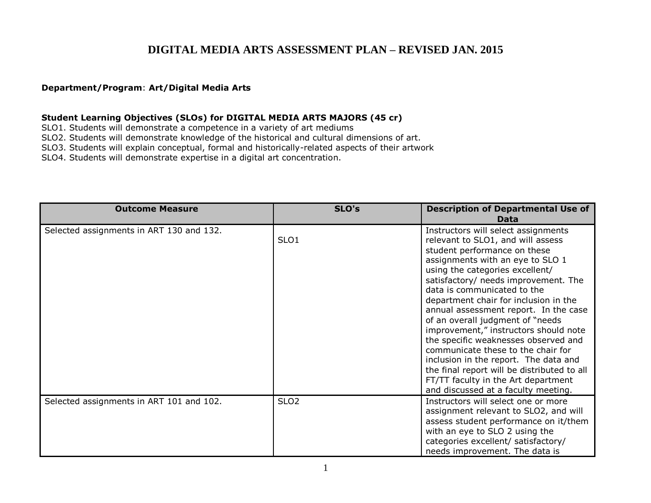## **DIGITAL MEDIA ARTS ASSESSMENT PLAN – REVISED JAN. 2015**

## **Department/Program**: **Art/Digital Media Arts**

## **Student Learning Objectives (SLOs) for DIGITAL MEDIA ARTS MAJORS (45 cr)**

SLO1. Students will demonstrate a competence in a variety of art mediums

SLO2. Students will demonstrate knowledge of the historical and cultural dimensions of art.

SLO3. Students will explain conceptual, formal and historically-related aspects of their artwork

SLO4. Students will demonstrate expertise in a digital art concentration.

| <b>Outcome Measure</b>                   | SLO's            | <b>Description of Departmental Use of</b><br>Data                                                                                                                                                                                                                                                                                                                                                                                                                                                                                                                                                                                                                          |
|------------------------------------------|------------------|----------------------------------------------------------------------------------------------------------------------------------------------------------------------------------------------------------------------------------------------------------------------------------------------------------------------------------------------------------------------------------------------------------------------------------------------------------------------------------------------------------------------------------------------------------------------------------------------------------------------------------------------------------------------------|
| Selected assignments in ART 130 and 132. | SLO <sub>1</sub> | Instructors will select assignments<br>relevant to SLO1, and will assess<br>student performance on these<br>assignments with an eye to SLO 1<br>using the categories excellent/<br>satisfactory/ needs improvement. The<br>data is communicated to the<br>department chair for inclusion in the<br>annual assessment report. In the case<br>of an overall judgment of "needs"<br>improvement," instructors should note<br>the specific weaknesses observed and<br>communicate these to the chair for<br>inclusion in the report. The data and<br>the final report will be distributed to all<br>FT/TT faculty in the Art department<br>and discussed at a faculty meeting. |
| Selected assignments in ART 101 and 102. | SLO <sub>2</sub> | Instructors will select one or more<br>assignment relevant to SLO2, and will<br>assess student performance on it/them<br>with an eye to SLO 2 using the<br>categories excellent/ satisfactory/<br>needs improvement. The data is                                                                                                                                                                                                                                                                                                                                                                                                                                           |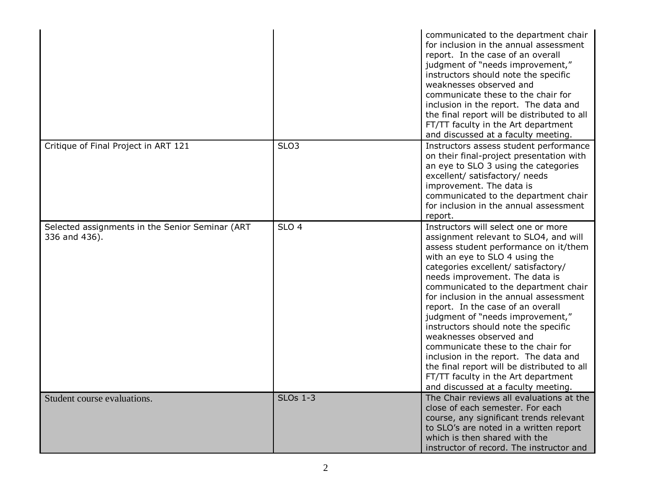|                                                                  |                  | communicated to the department chair<br>for inclusion in the annual assessment<br>report. In the case of an overall<br>judgment of "needs improvement,"<br>instructors should note the specific<br>weaknesses observed and<br>communicate these to the chair for<br>inclusion in the report. The data and<br>the final report will be distributed to all<br>FT/TT faculty in the Art department<br>and discussed at a faculty meeting.                                                                                                                                                                                                                                     |
|------------------------------------------------------------------|------------------|----------------------------------------------------------------------------------------------------------------------------------------------------------------------------------------------------------------------------------------------------------------------------------------------------------------------------------------------------------------------------------------------------------------------------------------------------------------------------------------------------------------------------------------------------------------------------------------------------------------------------------------------------------------------------|
| Critique of Final Project in ART 121                             | SLO <sub>3</sub> | Instructors assess student performance<br>on their final-project presentation with<br>an eye to SLO 3 using the categories<br>excellent/ satisfactory/ needs<br>improvement. The data is<br>communicated to the department chair<br>for inclusion in the annual assessment<br>report.                                                                                                                                                                                                                                                                                                                                                                                      |
| Selected assignments in the Senior Seminar (ART<br>336 and 436). | SLO <sub>4</sub> | Instructors will select one or more<br>assignment relevant to SLO4, and will<br>assess student performance on it/them<br>with an eye to SLO 4 using the<br>categories excellent/ satisfactory/<br>needs improvement. The data is<br>communicated to the department chair<br>for inclusion in the annual assessment<br>report. In the case of an overall<br>judgment of "needs improvement,"<br>instructors should note the specific<br>weaknesses observed and<br>communicate these to the chair for<br>inclusion in the report. The data and<br>the final report will be distributed to all<br>FT/TT faculty in the Art department<br>and discussed at a faculty meeting. |
| Student course evaluations.                                      | <b>SLOs 1-3</b>  | The Chair reviews all evaluations at the<br>close of each semester. For each<br>course, any significant trends relevant<br>to SLO's are noted in a written report<br>which is then shared with the<br>instructor of record. The instructor and                                                                                                                                                                                                                                                                                                                                                                                                                             |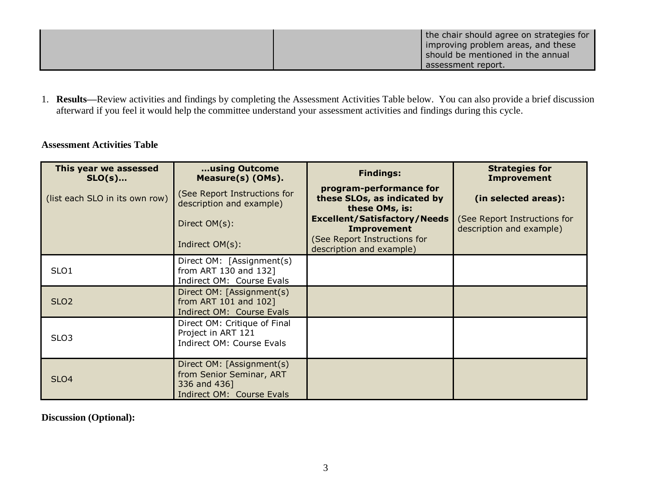| the chair should agree on strategies for<br>improving problem areas, and these<br>should be mentioned in the annual<br>l assessment report. |
|---------------------------------------------------------------------------------------------------------------------------------------------|
|                                                                                                                                             |

1. **Results—**Review activities and findings by completing the Assessment Activities Table below. You can also provide a brief discussion afterward if you feel it would help the committee understand your assessment activities and findings during this cycle.

## **Assessment Activities Table**

| This year we assessed<br>$SLO(s)$ | using Outcome<br>Measure(s) (OMs).                                                                 | <b>Findings:</b>                                                         | <b>Strategies for</b><br><b>Improvement</b>              |
|-----------------------------------|----------------------------------------------------------------------------------------------------|--------------------------------------------------------------------------|----------------------------------------------------------|
| (list each SLO in its own row)    | (See Report Instructions for<br>description and example)                                           | program-performance for<br>these SLOs, as indicated by<br>these OMs, is: | (in selected areas):                                     |
|                                   | Direct OM(s):                                                                                      | <b>Excellent/Satisfactory/Needs</b><br><b>Improvement</b>                | (See Report Instructions for<br>description and example) |
|                                   | Indirect OM(s):                                                                                    | (See Report Instructions for<br>description and example)                 |                                                          |
| SLO <sub>1</sub>                  | Direct OM: [Assignment(s)<br>from ART 130 and 132]<br>Indirect OM: Course Evals                    |                                                                          |                                                          |
| SLO <sub>2</sub>                  | Direct OM: [Assignment(s)<br>from ART 101 and 102]<br>Indirect OM: Course Evals                    |                                                                          |                                                          |
| SLO <sub>3</sub>                  | Direct OM: Critique of Final<br>Project in ART 121<br>Indirect OM: Course Evals                    |                                                                          |                                                          |
| SLO <sub>4</sub>                  | Direct OM: [Assignment(s)<br>from Senior Seminar, ART<br>336 and 436]<br>Indirect OM: Course Evals |                                                                          |                                                          |

**Discussion (Optional):**